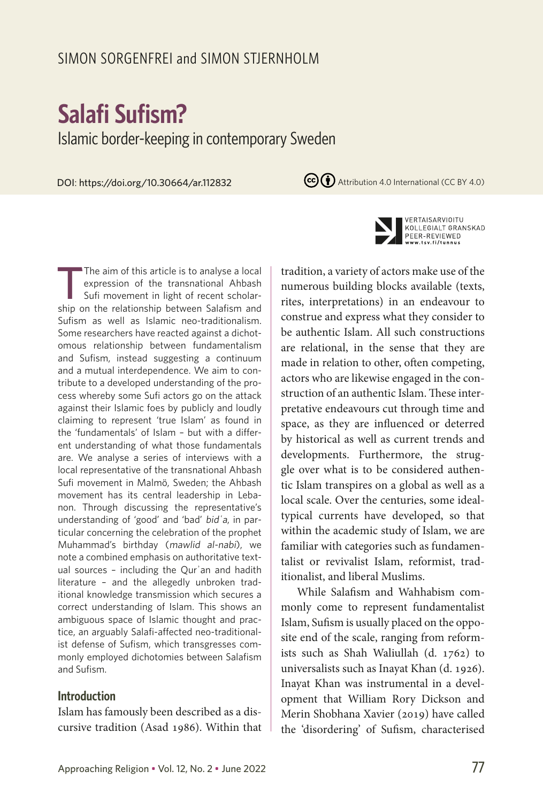# SIMON SORGENFREI and SIMON STJERNHOLM

# **Salafi Sufism?**

Islamic border-keeping in contemporary Sweden

DOI: https://doi.org/10.30664/ar.112832

(cc) (i) Attribution 4.0 International (CC BY 4.0)



#### **Introduction**

Islam has famously been described as a discursive tradition (Asad 1986). Within that



VERTAISARVIOITU KOLLEGIALT GRANSKAD PEER-REVIEWED w.tsv.fi/tunnus

tradition, a variety of actors make use of the numerous building blocks available (texts, rites, interpretations) in an endeavour to construe and express what they consider to be authentic Islam. All such constructions are relational, in the sense that they are made in relation to other, often competing, actors who are likewise engaged in the construction of an authentic Islam. These interpretative endeavours cut through time and space, as they are influenced or deterred by historical as well as current trends and developments. Furthermore, the struggle over what is to be considered authentic Islam transpires on a global as well as a local scale. Over the centuries, some idealtypical currents have developed, so that within the academic study of Islam, we are familiar with categories such as fundamentalist or revivalist Islam, reformist, traditionalist, and liberal Muslims.

While Salafism and Wahhabism commonly come to represent fundamentalist Islam, Sufism is usually placed on the opposite end of the scale, ranging from reformists such as Shah Waliullah (d. 1762) to universalists such as Inayat Khan (d. 1926). Inayat Khan was instrumental in a development that William Rory Dickson and Merin Shobhana Xavier (2019) have called the 'disordering' of Sufism, characterised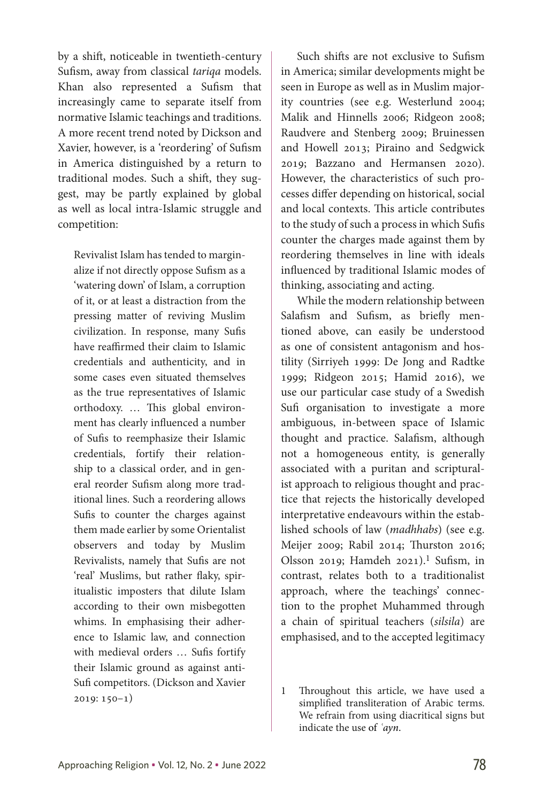by a shift, noticeable in twentieth-century Sufism, away from classical *tariqa* models. Khan also represented a Sufism that increasingly came to separate itself from normative Islamic teachings and traditions. A more recent trend noted by Dickson and Xavier, however, is a 'reordering' of Sufism in America distinguished by a return to traditional modes. Such a shift, they suggest, may be partly explained by global as well as local intra-Islamic struggle and competition:

Revivalist Islam has tended to marginalize if not directly oppose Sufism as a 'watering down' of Islam, a corruption of it, or at least a distraction from the pressing matter of reviving Muslim civilization. In response, many Sufis have reaffirmed their claim to Islamic credentials and authenticity, and in some cases even situated themselves as the true representatives of Islamic orthodoxy. … This global environment has clearly influenced a number of Sufis to reemphasize their Islamic credentials, fortify their relationship to a classical order, and in general reorder Sufism along more traditional lines. Such a reordering allows Sufis to counter the charges against them made earlier by some Orientalist observers and today by Muslim Revivalists, namely that Sufis are not 'real' Muslims, but rather flaky, spiritualistic imposters that dilute Islam according to their own misbegotten whims. In emphasising their adherence to Islamic law, and connection with medieval orders … Sufis fortify their Islamic ground as against anti-Sufi competitors. (Dickson and Xavier 2019: 150–1)

Such shifts are not exclusive to Sufism in America; similar developments might be seen in Europe as well as in Muslim majority countries (see e.g. Westerlund 2004; Malik and Hinnells 2006; Ridgeon 2008; Raudvere and Stenberg 2009; Bruinessen and Howell 2013; Piraino and Sedgwick 2019; Bazzano and Hermansen 2020). However, the characteristics of such processes differ depending on historical, social and local contexts. This article contributes to the study of such a process in which Sufis counter the charges made against them by reordering themselves in line with ideals influenced by traditional Islamic modes of thinking, associating and acting.

While the modern relationship between Salafism and Sufism, as briefly mentioned above, can easily be understood as one of consistent antagonism and hostility (Sirriyeh 1999: De Jong and Radtke 1999; Ridgeon 2015; Hamid 2016), we use our particular case study of a Swedish Sufi organisation to investigate a more ambiguous, in-between space of Islamic thought and practice. Salafism, although not a homogeneous entity, is generally associated with a puritan and scripturalist approach to religious thought and practice that rejects the historically developed interpretative endeavours within the established schools of law (*madhhabs*) (see e.g. Meijer 2009; Rabil 2014; Thurston 2016; Olsson 2019; Hamdeh 2021).1 Sufism, in contrast, relates both to a traditionalist approach, where the teachings' connection to the prophet Muhammed through a chain of spiritual teachers (*silsila*) are emphasised, and to the accepted legitimacy

<sup>1</sup> Throughout this article, we have used a simplified transliteration of Arabic terms. We refrain from using diacritical signs but indicate the use of *ʿayn*.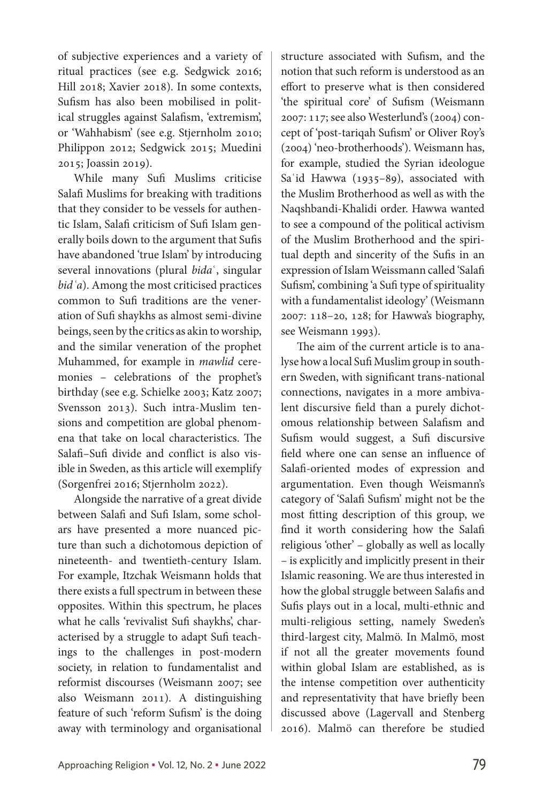of subjective experiences and a variety of ritual practices (see e.g. Sedgwick 2016; Hill 2018; Xavier 2018). In some contexts, Sufism has also been mobilised in political struggles against Salafism, 'extremism', or 'Wahhabism' (see e.g. Stjernholm 2010; Philippon 2012; Sedgwick 2015; Muedini 2015; Joassin 2019).

While many Sufi Muslims criticise Salafi Muslims for breaking with traditions that they consider to be vessels for authentic Islam, Salafi criticism of Sufi Islam generally boils down to the argument that Sufis have abandoned 'true Islam' by introducing several innovations (plural *bida*ʿ, singular *bidʿa*). Among the most criticised practices common to Sufi traditions are the veneration of Sufi shaykhs as almost semi-divine beings, seen by the critics as akin to worship, and the similar veneration of the prophet Muhammed, for example in *mawlid* ceremonies – celebrations of the prophet's birthday (see e.g. Schielke 2003; Katz 2007; Svensson 2013). Such intra-Muslim tensions and competition are global phenomena that take on local characteristics. The Salafi–Sufi divide and conflict is also visible in Sweden, as this article will exemplify (Sorgenfrei 2016; Stjernholm 2022).

Alongside the narrative of a great divide between Salafi and Sufi Islam, some scholars have presented a more nuanced picture than such a dichotomous depiction of nineteenth- and twentieth-century Islam. For example, Itzchak Weismann holds that there exists a full spectrum in between these opposites. Within this spectrum, he places what he calls 'revivalist Sufi shaykhs', characterised by a struggle to adapt Sufi teachings to the challenges in post-modern society, in relation to fundamentalist and reformist discourses (Weismann 2007; see also Weismann 2011). A distinguishing feature of such 'reform Sufism' is the doing away with terminology and organisational

structure associated with Sufism, and the notion that such reform is understood as an effort to preserve what is then considered 'the spiritual core' of Sufism (Weismann 2007: 117; see also Westerlund's (2004) concept of 'post-tariqah Sufism' or Oliver Roy's (2004) 'neo-brotherhoods'). Weismann has, for example, studied the Syrian ideologue Saʿid Hawwa (1935–89), associated with the Muslim Brotherhood as well as with the Naqshbandi-Khalidi order. Hawwa wanted to see a compound of the political activism of the Muslim Brotherhood and the spiritual depth and sincerity of the Sufis in an expression of Islam Weissmann called 'Salafi Sufism', combining 'a Sufi type of spirituality with a fundamentalist ideology' (Weismann 2007: 118–20, 128; for Hawwa's biography, see Weismann 1993).

The aim of the current article is to analyse how a local Sufi Muslim group in southern Sweden, with significant trans-national connections, navigates in a more ambivalent discursive field than a purely dichotomous relationship between Salafism and Sufism would suggest, a Sufi discursive field where one can sense an influence of Salafi-oriented modes of expression and argumentation. Even though Weismann's category of 'Salafi Sufism' might not be the most fitting description of this group, we find it worth considering how the Salafi religious 'other' – globally as well as locally – is explicitly and implicitly present in their Islamic reasoning. We are thus interested in how the global struggle between Salafis and Sufis plays out in a local, multi-ethnic and multi-religious setting, namely Sweden's third-largest city, Malmö. In Malmö, most if not all the greater movements found within global Islam are established, as is the intense competition over authenticity and representativity that have briefly been discussed above (Lagervall and Stenberg 2016). Malmö can therefore be studied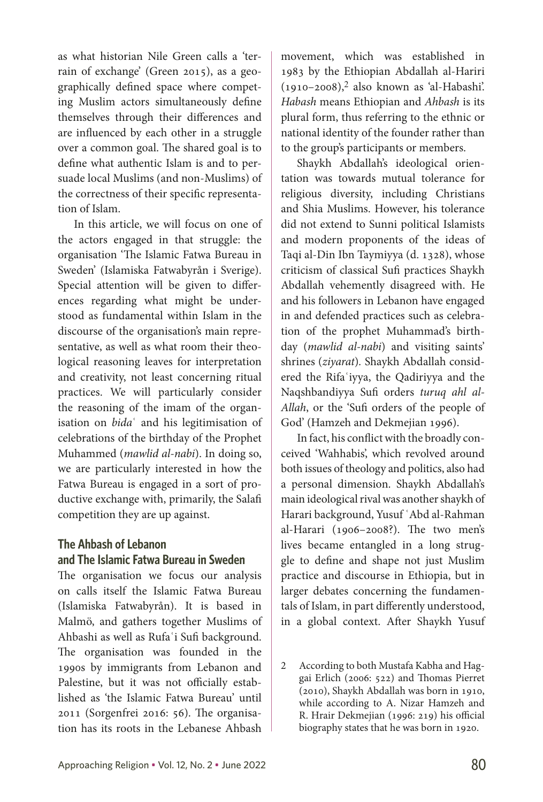as what historian Nile Green calls a 'terrain of exchange' (Green 2015), as a geographically defined space where competing Muslim actors simultaneously define themselves through their differences and are influenced by each other in a struggle over a common goal. The shared goal is to define what authentic Islam is and to persuade local Muslims (and non-Muslims) of the correctness of their specific representation of Islam.

In this article, we will focus on one of the actors engaged in that struggle: the organisation 'The Islamic Fatwa Bureau in Sweden' (Islamiska Fatwabyrån i Sverige). Special attention will be given to differences regarding what might be understood as fundamental within Islam in the discourse of the organisation's main representative, as well as what room their theological reasoning leaves for interpretation and creativity, not least concerning ritual practices. We will particularly consider the reasoning of the imam of the organisation on *bida*ʿ and his legitimisation of celebrations of the birthday of the Prophet Muhammed (*mawlid al-nabi*). In doing so, we are particularly interested in how the Fatwa Bureau is engaged in a sort of productive exchange with, primarily, the Salafi competition they are up against.

## **The Ahbash of Lebanon and The Islamic Fatwa Bureau in Sweden**

The organisation we focus our analysis on calls itself the Islamic Fatwa Bureau (Islamiska Fatwabyrån). It is based in Malmö, and gathers together Muslims of Ahbashi as well as Rufaʿi Sufi background. The organisation was founded in the 1990s by immigrants from Lebanon and Palestine, but it was not officially established as 'the Islamic Fatwa Bureau' until 2011 (Sorgenfrei 2016: 56). The organisation has its roots in the Lebanese Ahbash

movement, which was established in 1983 by the Ethiopian Abdallah al-Hariri  $(1910-2008),<sup>2</sup>$  also known as 'al-Habashi'. *Habash* means Ethiopian and *Ahbash* is its plural form, thus referring to the ethnic or national identity of the founder rather than to the group's participants or members.

Shaykh Abdallah's ideological orientation was towards mutual tolerance for religious diversity, including Christians and Shia Muslims. However, his tolerance did not extend to Sunni political Islamists and modern proponents of the ideas of Taqi al-Din Ibn Taymiyya (d. 1328), whose criticism of classical Sufi practices Shaykh Abdallah vehemently disagreed with. He and his followers in Lebanon have engaged in and defended practices such as celebration of the prophet Muhammad's birthday (*mawlid al-nabi*) and visiting saints' shrines (*ziyarat*)*.* Shaykh Abdallah considered the Rifaʿiyya, the Qadiriyya and the Naqshbandiyya Sufi orders *turuq ahl al-Allah*, or the 'Sufi orders of the people of God' (Hamzeh and Dekmejian 1996).

In fact, his conflict with the broadly conceived 'Wahhabis', which revolved around both issues of theology and politics, also had a personal dimension. Shaykh Abdallah's main ideological rival was another shaykh of Harari background, Yusuf ʿAbd al-Rahman al-Harari (1906–2008?). The two men's lives became entangled in a long struggle to define and shape not just Muslim practice and discourse in Ethiopia, but in larger debates concerning the fundamentals of Islam, in part differently understood, in a global context. After Shaykh Yusuf

2 According to both Mustafa Kabha and Haggai Erlich (2006: 522) and Thomas Pierret (2010), Shaykh Abdallah was born in 1910, while according to A. Nizar Hamzeh and R. Hrair Dekmejian (1996: 219) his official biography states that he was born in 1920.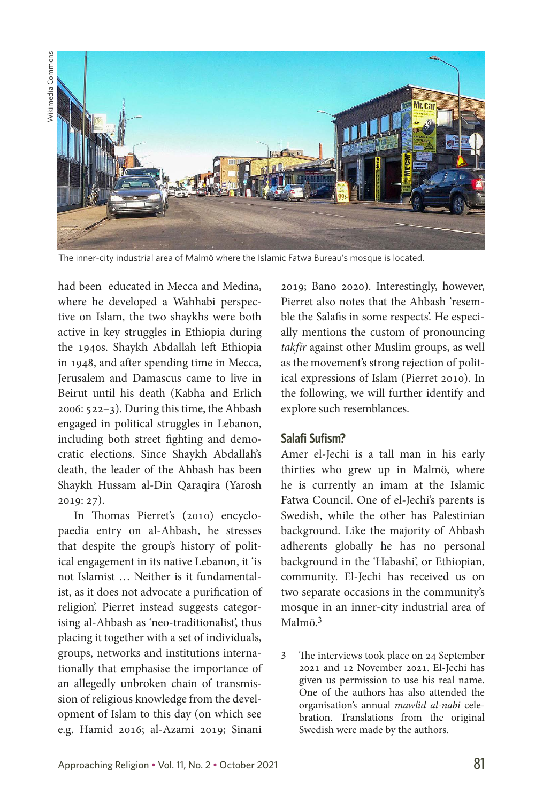Wikimedia Commons Wikimedia Commons



The inner-city industrial area of Malmö where the Islamic Fatwa Bureau's mosque is located.

had been educated in Mecca and Medina, where he developed a Wahhabi perspective on Islam, the two shaykhs were both active in key struggles in Ethiopia during the 1940s. Shaykh Abdallah left Ethiopia in 1948, and after spending time in Mecca, Jerusalem and Damascus came to live in Beirut until his death (Kabha and Erlich 2006: 522–3). During this time, the Ahbash engaged in political struggles in Lebanon, including both street fighting and democratic elections. Since Shaykh Abdallah's death, the leader of the Ahbash has been Shaykh Hussam al-Din Qaraqira (Yarosh 2019: 27).

In Thomas Pierret's (2010) encyclopaedia entry on al-Ahbash, he stresses that despite the group's history of political engagement in its native Lebanon, it 'is not Islamist … Neither is it fundamentalist, as it does not advocate a purification of religion'. Pierret instead suggests categorising al-Ahbash as 'neo-traditionalist', thus placing it together with a set of individuals, groups, networks and institutions internationally that emphasise the importance of an allegedly unbroken chain of transmission of religious knowledge from the development of Islam to this day (on which see e.g. Hamid 2016; al-Azami 2019; Sinani

2019; Bano 2020). Interestingly, however, Pierret also notes that the Ahbash 'resemble the Salafis in some respects'. He especially mentions the custom of pronouncing *takfīr* against other Muslim groups, as well as the movement's strong rejection of political expressions of Islam (Pierret 2010). In the following, we will further identify and explore such resemblances.

#### **Salafi Sufism?**

Amer el-Jechi is a tall man in his early thirties who grew up in Malmö, where he is currently an imam at the Islamic Fatwa Council. One of el-Jechi's parents is Swedish, while the other has Palestinian background. Like the majority of Ahbash adherents globally he has no personal background in the 'Habashi', or Ethiopian, community. El-Jechi has received us on two separate occasions in the community's mosque in an inner-city industrial area of Malmö.<sup>3</sup>

3 The interviews took place on 24 September 2021 and 12 November 2021. El-Jechi has given us permission to use his real name. One of the authors has also attended the organisation's annual *mawlid al-nabi* celebration. Translations from the original Swedish were made by the authors.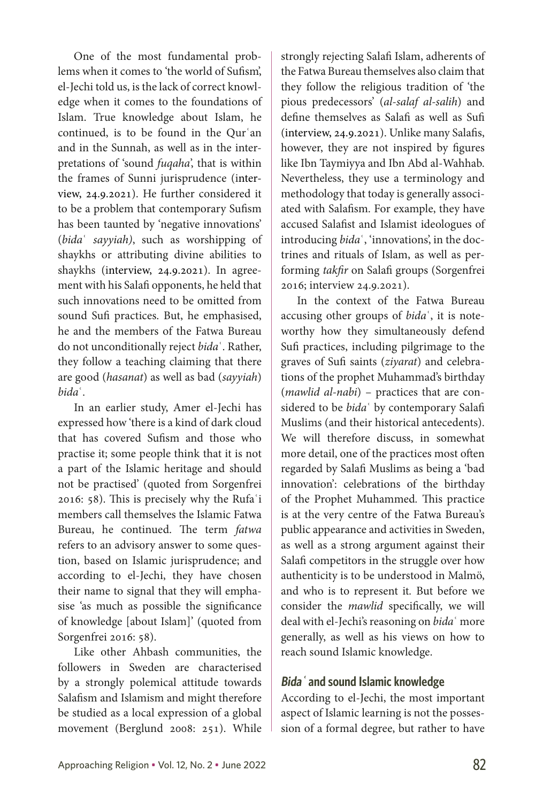One of the most fundamental problems when it comes to 'the world of Sufism', el-Jechi told us, is the lack of correct knowledge when it comes to the foundations of Islam. True knowledge about Islam, he continued, is to be found in the Qurʿan and in the Sunnah, as well as in the interpretations of 'sound *fuqaha*', that is within the frames of Sunni jurisprudence (interview, 24.9.2021). He further considered it to be a problem that contemporary Sufism has been taunted by 'negative innovations' (*bida*ʿ *sayyiah)*, such as worshipping of shaykhs or attributing divine abilities to shaykhs (interview, 24.9.2021). In agreement with his Salafi opponents, he held that such innovations need to be omitted from sound Sufi practices. But, he emphasised, he and the members of the Fatwa Bureau do not unconditionally reject *bida*ʿ. Rather, they follow a teaching claiming that there are good (*hasanat*) as well as bad (*sayyiah*) *bida*ʿ.

In an earlier study, Amer el-Jechi has expressed how 'there is a kind of dark cloud that has covered Sufism and those who practise it; some people think that it is not a part of the Islamic heritage and should not be practised' (quoted from Sorgenfrei 2016: 58). This is precisely why the Rufaʿi members call themselves the Islamic Fatwa Bureau, he continued. The term *fatwa* refers to an advisory answer to some question, based on Islamic jurisprudence; and according to el-Jechi, they have chosen their name to signal that they will emphasise 'as much as possible the significance of knowledge [about Islam]' (quoted from Sorgenfrei 2016: 58).

Like other Ahbash communities, the followers in Sweden are characterised by a strongly polemical attitude towards Salafism and Islamism and might therefore be studied as a local expression of a global movement (Berglund 2008: 251). While strongly rejecting Salafi Islam, adherents of the Fatwa Bureau themselves also claim that they follow the religious tradition of 'the pious predecessors' (*al-salaf al-salih*) and define themselves as Salafi as well as Sufi (interview, 24.9.2021). Unlike many Salafis, however, they are not inspired by figures like Ibn Taymiyya and Ibn Abd al-Wahhab. Nevertheless, they use a terminology and methodology that today is generally associated with Salafism. For example, they have accused Salafist and Islamist ideologues of introducing *bida*ʿ, 'innovations', in the doctrines and rituals of Islam, as well as performing *takfir* on Salafi groups (Sorgenfrei 2016; interview 24.9.2021).

In the context of the Fatwa Bureau accusing other groups of *bida*ʿ, it is noteworthy how they simultaneously defend Sufi practices, including pilgrimage to the graves of Sufi saints (*ziyarat*) and celebrations of the prophet Muhammad's birthday (*mawlid al-nabi*) – practices that are considered to be *bida*ʿ by contemporary Salafi Muslims (and their historical antecedents). We will therefore discuss, in somewhat more detail, one of the practices most often regarded by Salafi Muslims as being a 'bad innovation': celebrations of the birthday of the Prophet Muhammed*.* This practice is at the very centre of the Fatwa Bureau's public appearance and activities in Sweden, as well as a strong argument against their Salafi competitors in the struggle over how authenticity is to be understood in Malmö, and who is to represent it*.* But before we consider the *mawlid* specifically, we will deal with el-Jechi's reasoning on *bida*ʿ more generally, as well as his views on how to reach sound Islamic knowledge.

## **Bida<sup>ʿ</sup> and sound Islamic knowledge**

According to el-Jechi, the most important aspect of Islamic learning is not the possession of a formal degree, but rather to have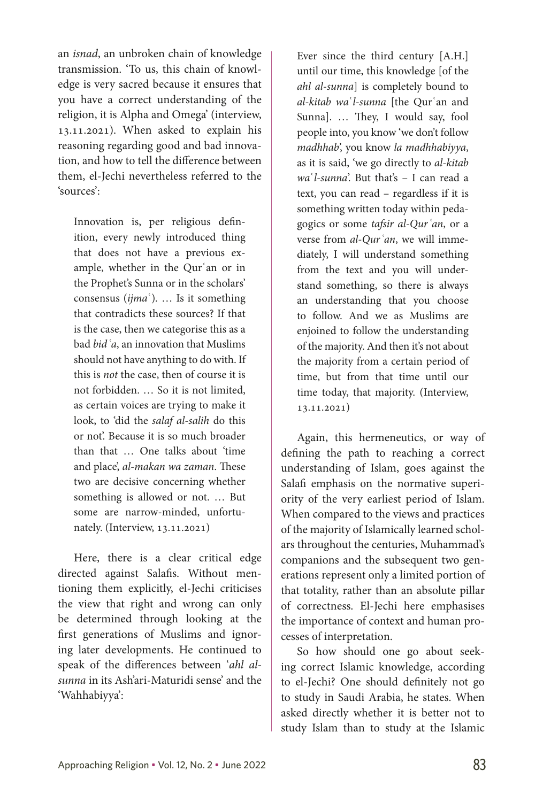an *isnad*, an unbroken chain of knowledge transmission. 'To us, this chain of knowledge is very sacred because it ensures that you have a correct understanding of the religion, it is Alpha and Omega' (interview, 13.11.2021). When asked to explain his reasoning regarding good and bad innovation, and how to tell the difference between them, el-Jechi nevertheless referred to the 'sources':

Innovation is, per religious definition, every newly introduced thing that does not have a previous example, whether in the Qurʿan or in the Prophet's Sunna or in the scholars' consensus (*ijma*ʿ)*.* … Is it something that contradicts these sources? If that is the case, then we categorise this as a bad *bidʿa*, an innovation that Muslims should not have anything to do with. If this is *not* the case, then of course it is not forbidden. … So it is not limited, as certain voices are trying to make it look, to 'did the *salaf al-salih* do this or not'. Because it is so much broader than that … One talks about 'time and place', *al-makan wa zaman*. These two are decisive concerning whether something is allowed or not. … But some are narrow-minded, unfortunately. (Interview, 13.11.2021)

Here, there is a clear critical edge directed against Salafis. Without mentioning them explicitly, el-Jechi criticises the view that right and wrong can only be determined through looking at the first generations of Muslims and ignoring later developments. He continued to speak of the differences between '*ahl alsunna* in its Ash'ari-Maturidi sense' and the 'Wahhabiyya':

Ever since the third century [A.H.] until our time, this knowledge [of the *ahl al-sunna*] is completely bound to *al-kitab wa*ʿ*l-sunna* [the Qurʿan and Sunna]. … They, I would say, fool people into, you know 'we don't follow *madhhab*', you know *la madhhabiyya*, as it is said, 'we go directly to *al-kitab wa*ʿ*l-sunna*'. But that's – I can read a text, you can read – regardless if it is something written today within pedagogics or some *tafsir al-Qurʿan*, or a verse from *al-Qurʿan*, we will immediately, I will understand something from the text and you will understand something, so there is always an understanding that you choose to follow. And we as Muslims are enjoined to follow the understanding of the majority. And then it's not about the majority from a certain period of time, but from that time until our time today, that majority. (Interview, 13.11.2021)

Again, this hermeneutics, or way of defining the path to reaching a correct understanding of Islam, goes against the Salafi emphasis on the normative superiority of the very earliest period of Islam. When compared to the views and practices of the majority of Islamically learned scholars throughout the centuries, Muhammad's companions and the subsequent two generations represent only a limited portion of that totality, rather than an absolute pillar of correctness. El-Jechi here emphasises the importance of context and human processes of interpretation.

So how should one go about seeking correct Islamic knowledge, according to el-Jechi? One should definitely not go to study in Saudi Arabia, he states. When asked directly whether it is better not to study Islam than to study at the Islamic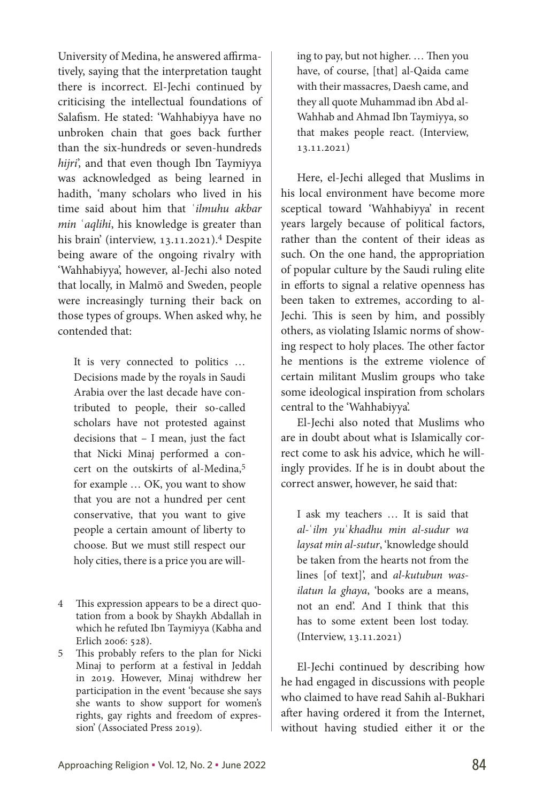University of Medina, he answered affirmatively, saying that the interpretation taught there is incorrect. El-Jechi continued by criticising the intellectual foundations of Salafism. He stated: 'Wahhabiyya have no unbroken chain that goes back further than the six-hundreds or seven-hundreds *hijri*', and that even though Ibn Taymiyya was acknowledged as being learned in hadith, 'many scholars who lived in his time said about him that ʿ*ilmuhu akbar min* ʿ*aqlihi*, his knowledge is greater than his brain' (interview, 13.11.2021).4 Despite being aware of the ongoing rivalry with 'Wahhabiyya', however, al-Jechi also noted that locally, in Malmö and Sweden, people were increasingly turning their back on those types of groups. When asked why, he contended that:

It is very connected to politics … Decisions made by the royals in Saudi Arabia over the last decade have contributed to people, their so-called scholars have not protested against decisions that – I mean, just the fact that Nicki Minaj performed a concert on the outskirts of al-Medina,5 for example … OK, you want to show that you are not a hundred per cent conservative, that you want to give people a certain amount of liberty to choose. But we must still respect our holy cities, there is a price you are will-

- 4 This expression appears to be a direct quotation from a book by Shaykh Abdallah in which he refuted Ibn Taymiyya (Kabha and Erlich 2006: 528).
- 5 This probably refers to the plan for Nicki Minaj to perform at a festival in Jeddah in 2019. However, Minaj withdrew her participation in the event 'because she says she wants to show support for women's rights, gay rights and freedom of expression' (Associated Press 2019).

ing to pay, but not higher. … Then you have, of course, [that] al-Qaida came with their massacres, Daesh came, and they all quote Muhammad ibn Abd al-Wahhab and Ahmad Ibn Taymiyya, so that makes people react. (Interview, 13.11.2021)

Here, el-Jechi alleged that Muslims in his local environment have become more sceptical toward 'Wahhabiyya' in recent years largely because of political factors, rather than the content of their ideas as such. On the one hand, the appropriation of popular culture by the Saudi ruling elite in efforts to signal a relative openness has been taken to extremes, according to al-Jechi. This is seen by him, and possibly others, as violating Islamic norms of showing respect to holy places. The other factor he mentions is the extreme violence of certain militant Muslim groups who take some ideological inspiration from scholars central to the 'Wahhabiyya'.

El-Jechi also noted that Muslims who are in doubt about what is Islamically correct come to ask his advice, which he willingly provides. If he is in doubt about the correct answer, however, he said that:

I ask my teachers … It is said that *al-*ʿ*ilm yu*ʿ*khadhu min al-sudur wa laysat min al-sutur*, 'knowledge should be taken from the hearts not from the lines [of text]', and *al-kutubun wasilatun la ghaya*, 'books are a means, not an end'. And I think that this has to some extent been lost today. (Interview, 13.11.2021)

El-Jechi continued by describing how he had engaged in discussions with people who claimed to have read Sahih al-Bukhari after having ordered it from the Internet, without having studied either it or the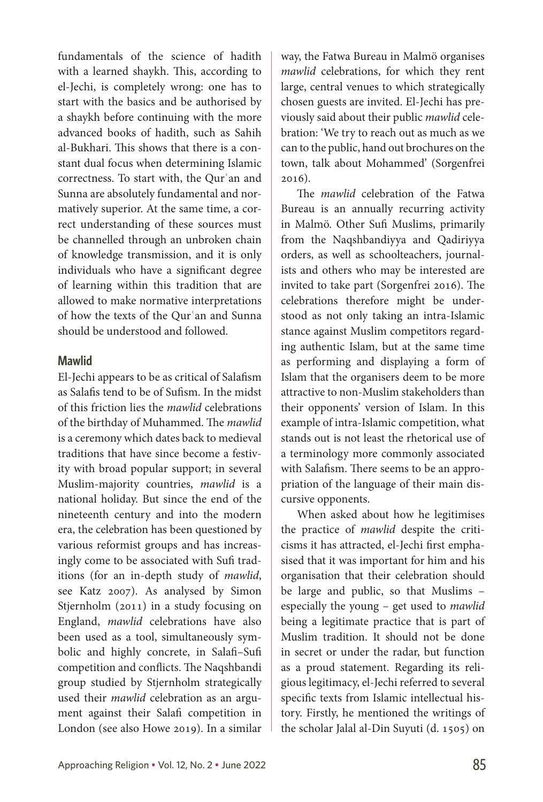fundamentals of the science of hadith with a learned shaykh. This, according to el-Jechi, is completely wrong: one has to start with the basics and be authorised by a shaykh before continuing with the more advanced books of hadith, such as Sahih al-Bukhari. This shows that there is a constant dual focus when determining Islamic correctness. To start with, the Qurʿan and Sunna are absolutely fundamental and normatively superior. At the same time, a correct understanding of these sources must be channelled through an unbroken chain of knowledge transmission, and it is only individuals who have a significant degree of learning within this tradition that are allowed to make normative interpretations of how the texts of the Qurʿan and Sunna should be understood and followed.

#### **Mawlid**

El-Jechi appears to be as critical of Salafism as Salafis tend to be of Sufism. In the midst of this friction lies the *mawlid* celebrations of the birthday of Muhammed. The *mawlid* is a ceremony which dates back to medieval traditions that have since become a festivity with broad popular support; in several Muslim-majority countries, *mawlid* is a national holiday. But since the end of the nineteenth century and into the modern era, the celebration has been questioned by various reformist groups and has increasingly come to be associated with Sufi traditions (for an in-depth study of *mawlid*, see Katz 2007). As analysed by Simon Stjernholm (2011) in a study focusing on England, *mawlid* celebrations have also been used as a tool, simultaneously symbolic and highly concrete, in Salafi–Sufi competition and conflicts. The Naqshbandi group studied by Stjernholm strategically used their *mawlid* celebration as an argument against their Salafi competition in London (see also Howe 2019). In a similar

stance against Muslim competitors regarding authentic Islam, but at the same time as performing and displaying a form of Islam that the organisers deem to be more attractive to non-Muslim stakeholders than their opponents' version of Islam. In this

2016).

example of intra-Islamic competition, what stands out is not least the rhetorical use of a terminology more commonly associated with Salafism. There seems to be an appropriation of the language of their main discursive opponents.

way, the Fatwa Bureau in Malmö organises *mawlid* celebrations, for which they rent large, central venues to which strategically chosen guests are invited. El-Jechi has previously said about their public *mawlid* celebration: 'We try to reach out as much as we can to the public, hand out brochures on the town, talk about Mohammed' (Sorgenfrei

The *mawlid* celebration of the Fatwa Bureau is an annually recurring activity in Malmö. Other Sufi Muslims, primarily from the Naqshbandiyya and Qadiriyya orders, as well as schoolteachers, journalists and others who may be interested are invited to take part (Sorgenfrei 2016). The celebrations therefore might be understood as not only taking an intra-Islamic

When asked about how he legitimises the practice of *mawlid* despite the criticisms it has attracted, el-Jechi first emphasised that it was important for him and his organisation that their celebration should be large and public, so that Muslims – especially the young – get used to *mawlid*  being a legitimate practice that is part of Muslim tradition. It should not be done in secret or under the radar, but function as a proud statement. Regarding its religious legitimacy, el-Jechi referred to several specific texts from Islamic intellectual history. Firstly, he mentioned the writings of the scholar Jalal al-Din Suyuti (d. 1505) on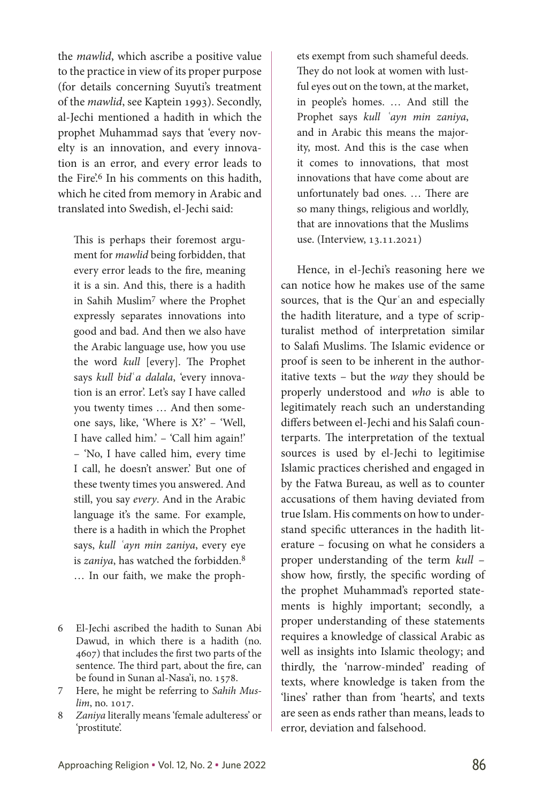the *mawlid*, which ascribe a positive value to the practice in view of its proper purpose (for details concerning Suyuti's treatment of the *mawlid*, see Kaptein 1993). Secondly, al-Jechi mentioned a hadith in which the prophet Muhammad says that 'every novelty is an innovation, and every innovation is an error, and every error leads to the Fire'.<sup>6</sup> In his comments on this hadith, which he cited from memory in Arabic and translated into Swedish, el-Jechi said:

This is perhaps their foremost argument for *mawlid* being forbidden, that every error leads to the fire, meaning it is a sin. And this, there is a hadith in Sahih Muslim7 where the Prophet expressly separates innovations into good and bad. And then we also have the Arabic language use, how you use the word *kull* [every]. The Prophet says *kull bid*ʿ*a dalala*, 'every innovation is an error'. Let's say I have called you twenty times … And then someone says, like, 'Where is X?' – 'Well, I have called him.' – 'Call him again!' – 'No, I have called him, every time I call, he doesn't answer.' But one of these twenty times you answered. And still, you say *every*. And in the Arabic language it's the same. For example, there is a hadith in which the Prophet says, *kull ʿayn min zaniya*, every eye is *zaniya*, has watched the forbidden.8 … In our faith, we make the proph-

6 El-Jechi ascribed the hadith to Sunan Abi Dawud, in which there is a hadith (no. 4607) that includes the first two parts of the sentence. The third part, about the fire, can be found in Sunan al-Nasa'i, no. 1578.

- 7 Here, he might be referring to *Sahih Muslim*, no. 1017.
- 8 *Zaniya* literally means 'female adulteress' or 'prostitute'.

ets exempt from such shameful deeds. They do not look at women with lustful eyes out on the town, at the market, in people's homes. … And still the Prophet says *kull ʿayn min zaniya*, and in Arabic this means the majority, most. And this is the case when it comes to innovations, that most innovations that have come about are unfortunately bad ones. … There are so many things, religious and worldly, that are innovations that the Muslims use. (Interview, 13.11.2021)

Hence, in el-Jechi's reasoning here we can notice how he makes use of the same sources, that is the Qur'an and especially the hadith literature, and a type of scripturalist method of interpretation similar to Salafi Muslims. The Islamic evidence or proof is seen to be inherent in the authoritative texts – but the *way* they should be properly understood and *who* is able to legitimately reach such an understanding differs between el-Jechi and his Salafi counterparts. The interpretation of the textual sources is used by el-Jechi to legitimise Islamic practices cherished and engaged in by the Fatwa Bureau, as well as to counter accusations of them having deviated from true Islam. His comments on how to understand specific utterances in the hadith literature – focusing on what he considers a proper understanding of the term *kull* – show how, firstly, the specific wording of the prophet Muhammad's reported statements is highly important; secondly, a proper understanding of these statements requires a knowledge of classical Arabic as well as insights into Islamic theology; and thirdly, the 'narrow-minded' reading of texts, where knowledge is taken from the 'lines' rather than from 'hearts', and texts are seen as ends rather than means, leads to error, deviation and falsehood.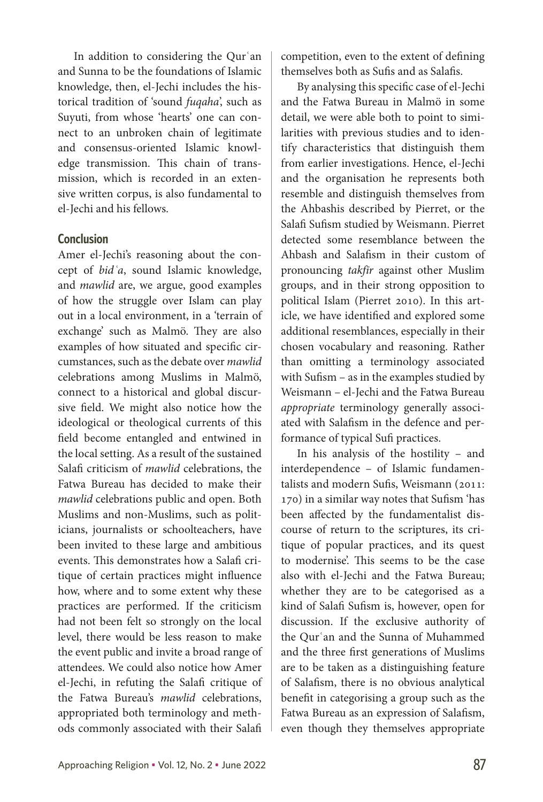In addition to considering the Qurʿan and Sunna to be the foundations of Islamic knowledge, then, el-Jechi includes the historical tradition of 'sound *fuqaha*', such as Suyuti, from whose 'hearts' one can connect to an unbroken chain of legitimate and consensus-oriented Islamic knowledge transmission. This chain of transmission, which is recorded in an extensive written corpus, is also fundamental to el-Jechi and his fellows.

#### **Conclusion**

Amer el-Jechi's reasoning about the concept of *bidʿa*, sound Islamic knowledge, and *mawlid* are, we argue, good examples of how the struggle over Islam can play out in a local environment, in a 'terrain of exchange' such as Malmö. They are also examples of how situated and specific circumstances, such as the debate over *mawlid* celebrations among Muslims in Malmö, connect to a historical and global discursive field. We might also notice how the ideological or theological currents of this field become entangled and entwined in the local setting. As a result of the sustained Salafi criticism of *mawlid* celebrations, the Fatwa Bureau has decided to make their *mawlid* celebrations public and open. Both Muslims and non-Muslims, such as politicians, journalists or schoolteachers, have been invited to these large and ambitious events. This demonstrates how a Salafi critique of certain practices might influence how, where and to some extent why these practices are performed. If the criticism had not been felt so strongly on the local level, there would be less reason to make the event public and invite a broad range of attendees. We could also notice how Amer el-Jechi, in refuting the Salafi critique of the Fatwa Bureau's *mawlid* celebrations, appropriated both terminology and methods commonly associated with their Salafi competition, even to the extent of defining themselves both as Sufis and as Salafis.

By analysing this specific case of el-Jechi and the Fatwa Bureau in Malmö in some detail, we were able both to point to similarities with previous studies and to identify characteristics that distinguish them from earlier investigations. Hence, el-Jechi and the organisation he represents both resemble and distinguish themselves from the Ahbashis described by Pierret, or the Salafi Sufism studied by Weismann. Pierret detected some resemblance between the Ahbash and Salafism in their custom of pronouncing *takfīr* against other Muslim groups, and in their strong opposition to political Islam (Pierret 2010). In this article, we have identified and explored some additional resemblances, especially in their chosen vocabulary and reasoning. Rather than omitting a terminology associated with Sufism – as in the examples studied by Weismann – el-Jechi and the Fatwa Bureau *appropriate* terminology generally associated with Salafism in the defence and performance of typical Sufi practices.

In his analysis of the hostility – and interdependence – of Islamic fundamentalists and modern Sufis, Weismann (2011: 170) in a similar way notes that Sufism 'has been affected by the fundamentalist discourse of return to the scriptures, its critique of popular practices, and its quest to modernise'. This seems to be the case also with el-Jechi and the Fatwa Bureau; whether they are to be categorised as a kind of Salafi Sufism is, however, open for discussion. If the exclusive authority of the Qurʿan and the Sunna of Muhammed and the three first generations of Muslims are to be taken as a distinguishing feature of Salafism, there is no obvious analytical benefit in categorising a group such as the Fatwa Bureau as an expression of Salafism, even though they themselves appropriate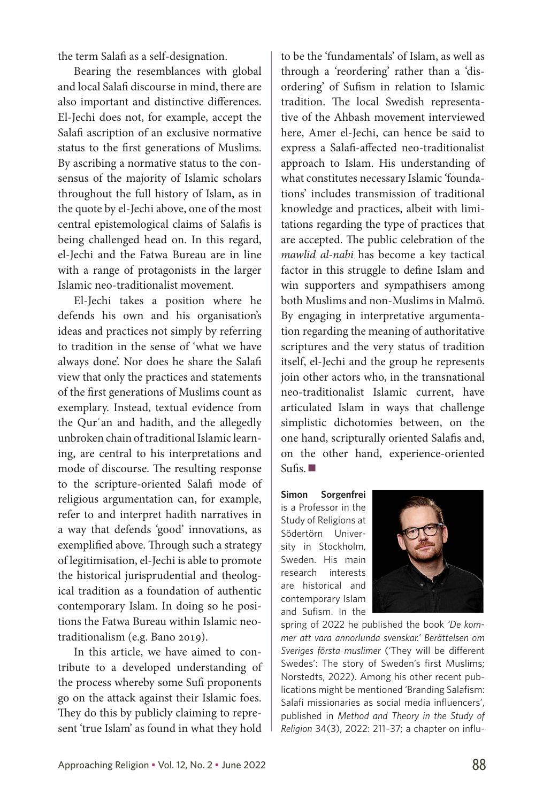the term Salafi as a self-designation.

Bearing the resemblances with global and local Salafi discourse in mind, there are also important and distinctive differences. El-Jechi does not, for example, accept the Salafi ascription of an exclusive normative status to the first generations of Muslims. By ascribing a normative status to the consensus of the majority of Islamic scholars throughout the full history of Islam, as in the quote by el-Jechi above, one of the most central epistemological claims of Salafis is being challenged head on. In this regard, el-Jechi and the Fatwa Bureau are in line with a range of protagonists in the larger Islamic neo-traditionalist movement.

El-Jechi takes a position where he defends his own and his organisation's ideas and practices not simply by referring to tradition in the sense of 'what we have always done'. Nor does he share the Salafi view that only the practices and statements of the first generations of Muslims count as exemplary. Instead, textual evidence from the Qurʿan and hadith, and the allegedly unbroken chain of traditional Islamic learning, are central to his interpretations and mode of discourse. The resulting response to the scripture-oriented Salafi mode of religious argumentation can, for example, refer to and interpret hadith narratives in a way that defends 'good' innovations, as exemplified above. Through such a strategy of legitimisation, el-Jechi is able to promote the historical jurisprudential and theological tradition as a foundation of authentic contemporary Islam. In doing so he positions the Fatwa Bureau within Islamic neotraditionalism (e.g. Bano 2019).

In this article, we have aimed to contribute to a developed understanding of the process whereby some Sufi proponents go on the attack against their Islamic foes. They do this by publicly claiming to represent 'true Islam' as found in what they hold to be the 'fundamentals' of Islam, as well as through a 'reordering' rather than a 'disordering' of Sufism in relation to Islamic tradition. The local Swedish representative of the Ahbash movement interviewed here, Amer el-Jechi, can hence be said to express a Salafi-affected neo-traditionalist approach to Islam. His understanding of what constitutes necessary Islamic 'foundations' includes transmission of traditional knowledge and practices, albeit with limitations regarding the type of practices that are accepted. The public celebration of the *mawlid al-nabi* has become a key tactical factor in this struggle to define Islam and win supporters and sympathisers among both Muslims and non-Muslims in Malmö. By engaging in interpretative argumentation regarding the meaning of authoritative scriptures and the very status of tradition itself, el-Jechi and the group he represents join other actors who, in the transnational neo-traditionalist Islamic current, have articulated Islam in ways that challenge simplistic dichotomies between, on the one hand, scripturally oriented Salafis and, on the other hand, experience-oriented  $Sufis.$ 

**Simon Sorgenfrei** is a Professor in the Study of Religions at Södertörn University in Stockholm, Sweden. His main research interests are historical and contemporary Islam and Sufism. In the



spring of 2022 he published the book *'De kommer att vara annorlunda svenskar.' Berättelsen om Sveriges första muslimer* ('They will be different Swedes': The story of Sweden's first Muslims; Norstedts, 2022). Among his other recent publications might be mentioned 'Branding Salafism: Salafi missionaries as social media influencers', published in *Method and Theory in the Study of Religion* 34(3), 2022: 211–37; a chapter on influ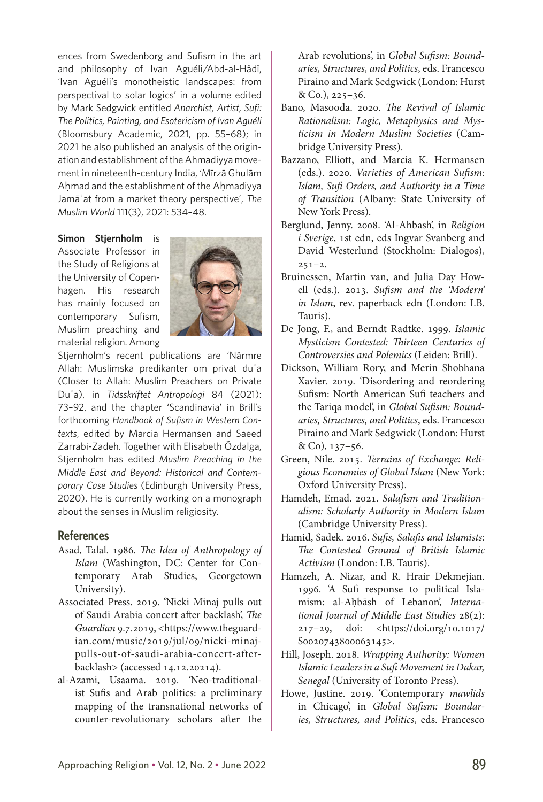ences from Swedenborg and Sufism in the art and philosophy of Ivan Aguéli/Abd-al-Hâdî, 'Ivan Aguéli's monotheistic landscapes: from perspectival to solar logics' in a volume edited by Mark Sedgwick entitled *Anarchist, Artist, Sufi: The Politics, Painting, and Esotericism of Ivan Aguéli* (Bloomsbury Academic, 2021, pp. 55–68); in 2021 he also published an analysis of the origination and establishment of the Ahmadiyya movement in nineteenth-century India, 'Mīrzā Ghulām Ahmad and the establishment of the Ahmadiyya Jamāʿat from a market theory perspective', *The Muslim World* 111(3), 2021: 534–48.

**Simon Stiernholm** is Associate Professor in the Study of Religions at the University of Copenhagen. His research has mainly focused on contemporary Sufism, Muslim preaching and material religion. Among



Stjernholm's recent publications are 'Närmre Allah: Muslimska predikanter om privat duʿa (Closer to Allah: Muslim Preachers on Private Duʿa), in *Tidsskriftet Antropologi* 84 (2021): 73–92, and the chapter 'Scandinavia' in Brill's forthcoming *Handbook of Sufism in Western Contexts*, edited by Marcia Hermansen and Saeed Zarrabi-Zadeh. Together with Elisabeth Özdalga, Stjernholm has edited *Muslim Preaching in the Middle East and Beyond: Historical and Contemporary Case Studies* (Edinburgh University Press, 2020). He is currently working on a monograph about the senses in Muslim religiosity.

#### **References**

- Asad, Talal. 1986. *The Idea of Anthropology of Islam* (Washington, DC: Center for Contemporary Arab Studies, Georgetown University).
- Associated Press. 2019. 'Nicki Minaj pulls out of Saudi Arabia concert after backlash', *The Guardian* 9.7.2019, <https://www.theguardian.com/music/2019/jul/09/nicki-minajpulls-out-of-saudi-arabia-concert-afterbacklash> (accessed 14.12.20214).
- al-Azami, Usaama. 2019. 'Neo-traditionalist Sufis and Arab politics: a preliminary mapping of the transnational networks of counter-revolutionary scholars after the

Arab revolutions', in *Global Sufism: Boundaries, Structures, and Politics*, eds. Francesco Piraino and Mark Sedgwick (London: Hurst & Co.), 225–36.

- Bano, Masooda. 2020. *The Revival of Islamic Rationalism: Logic, Metaphysics and Mysticism in Modern Muslim Societies* (Cambridge University Press).
- Bazzano, Elliott, and Marcia K. Hermansen (eds.). 2020. *Varieties of American Sufism: Islam, Sufi Orders, and Authority in a Time of Transition* (Albany: State University of New York Press).
- Berglund, Jenny. 2008. 'Al-Ahbash', in *Religion i Sverige*, 1st edn, eds Ingvar Svanberg and David Westerlund (Stockholm: Dialogos),  $251 - 2.$
- Bruinessen, Martin van, and Julia Day Howell (eds.). 2013. *Sufism and the 'Modern' in Islam*, rev. paperback edn (London: I.B. Tauris).
- De Jong, F., and Berndt Radtke. 1999. *Islamic Mysticism Contested: Thirteen Centuries of Controversies and Polemics* (Leiden: Brill).
- Dickson, William Rory, and Merin Shobhana Xavier. 2019. 'Disordering and reordering Sufism: North American Sufi teachers and the Tariqa model', in *Global Sufism: Boundaries, Structures, and Politics*, eds. Francesco Piraino and Mark Sedgwick (London: Hurst & Co), 137–56.
- Green, Nile. 2015. *Terrains of Exchange: Religious Economies of Global Islam* (New York: Oxford University Press).
- Hamdeh, Emad. 2021. *Salafism and Traditionalism: Scholarly Authority in Modern Islam* (Cambridge University Press).
- Hamid, Sadek. 2016. *Sufis, Salafis and Islamists: The Contested Ground of British Islamic Activism* (London: I.B. Tauris).
- Hamzeh, A. Nizar, and R. Hrair Dekmejian. 1996. 'A Sufi response to political Islamism: al-Ahbāsh of Lebanon, *International Journal of Middle East Studies* 28(2): 217–29, doi: [<https://doi.org/10.1017/](https://doi.org/10.1017/S0020743800063145) [S0020743800063145](https://doi.org/10.1017/S0020743800063145)>.
- Hill, Joseph. 2018. *Wrapping Authority: Women Islamic Leaders in a Sufi Movement in Dakar, Senegal* (University of Toronto Press).
- Howe, Justine. 2019. 'Contemporary *mawlids* in Chicago', in *Global Sufism: Boundaries, Structures, and Politics*, eds. Francesco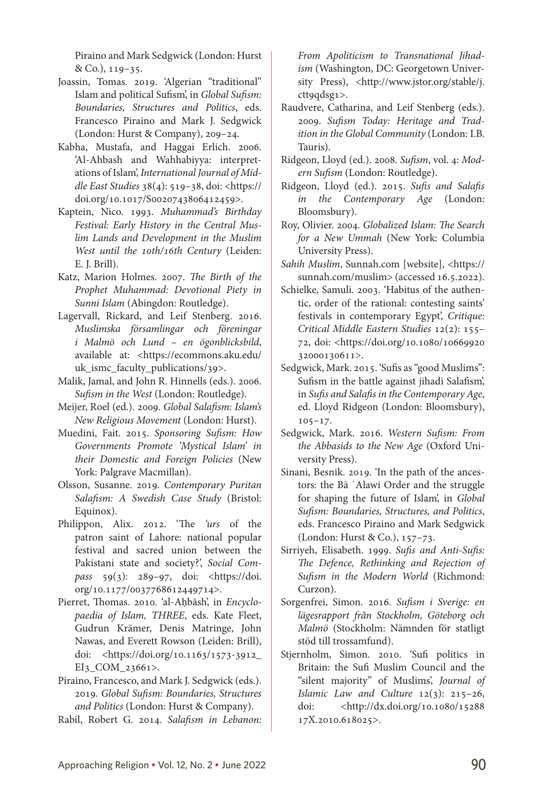Piraino and Mark Sedgwick (London: Hurst & Co.), 119–35.

- Joassin, Tomas. 2019. 'Algerian "traditional" Islam and political Sufism', in *Global Sufism: Boundaries, Structures and Politics*, eds. Francesco Piraino and Mark J. Sedgwick (London: Hurst & Company), 209–24.
- Kabha, Mustafa, and Haggai Erlich. 2006. 'Al-Ahbash and Wahhabiyya: interpretations of Islam', *International Journal of Middle East Studies* 38(4): 519–38, doi: <[https://](https://doi.org/10.1017/S0020743806412459) [doi.org/10.1017/S0020743806412459>](https://doi.org/10.1017/S0020743806412459).
- Kaptein, Nico. 1993. *Muhammad's Birthday Festival: Early History in the Central Muslim Lands and Development in the Muslim West until the 10th/16th Century* (Leiden: E. J. Brill).
- Katz, Marion Holmes. 2007. *The Birth of the Prophet Muhammad: Devotional Piety in Sunni Islam* (Abingdon: Routledge).
- Lagervall, Rickard, and Leif Stenberg. 2016. *Muslimska församlingar och föreningar i Malmö och Lund – en ögonblicksbild*, available at: <[https://ecommons.aku.edu/](https://ecommons.aku.edu/uk_ismc_faculty_publications/39) [uk\\_ismc\\_faculty\\_publications/39](https://ecommons.aku.edu/uk_ismc_faculty_publications/39)>.
- Malik, Jamal, and John R. Hinnells (eds.). 2006. *Sufism in the West* (London: Routledge).
- Meijer, Roel (ed.). 2009. *Global Salafism: Islam's New Religious Movement* (London: Hurst).
- Muedini, Fait. 2015. *Sponsoring Sufism: How Governments Promote 'Mystical Islam' in their Domestic and Foreign Policies* (New York: Palgrave Macmillan).
- Olsson, Susanne. 2019. *Contemporary Puritan Salafism: A Swedish Case Study* (Bristol: Equinox).
- Philippon, Alix. 2012. 'The *'urs* of the patron saint of Lahore: national popular festival and sacred union between the Pakistani state and society?', *Social Compass* 59(3): 289–97, doi: [<https://doi.](https://doi.org/10.1177/0037768612449714) [org/10.1177/0037768612449714>](https://doi.org/10.1177/0037768612449714).
- Pierret, Thomas. 2010. 'al-Ahbāsh', in *Encyclopaedia of Islam, THREE*, eds. Kate Fleet, Gudrun Krämer, Denis Matringe, John Nawas, and Everett Rowson (Leiden: Brill), doi: [<https://doi.org/10.1163/1573-3912\\_](https://doi.org/10.1163/1573-3912_EI3_COM_23661) [EI3\\_COM\\_23661>](https://doi.org/10.1163/1573-3912_EI3_COM_23661).
- Piraino, Francesco, and Mark J. Sedgwick (eds.). 2019. *Global Sufism: Boundaries, Structures and Politics* (London: Hurst & Company).
- Rabil, Robert G. 2014. *Salafism in Lebanon:*

*From Apoliticism to Transnational Jihadism* (Washington, DC: Georgetown Univer-sity Press), [<http://www.jstor.org/stable/j.](http://www.jstor.org/stable/j.ctt9qdsg1) [ctt9qdsg1>](http://www.jstor.org/stable/j.ctt9qdsg1).

- Raudvere, Catharina, and Leif Stenberg (eds.). 2009. *Sufism Today: Heritage and Tradition in the Global Community* (London: I.B. Tauris).
- Ridgeon, Lloyd (ed.). 2008. *Sufism*, vol. 4: *Modern Sufism* (London: Routledge).
- Ridgeon, Lloyd (ed.). 2015. *Sufis and Salafis in the Contemporary Age* (London: Bloomsbury).
- Roy, Olivier. 2004. *Globalized Islam: The Search for a New Ummah* (New York: Columbia University Press).
- *Sahih Muslim*, Sunnah.com [website], <https:// sunnah.com/muslim> (accessed 16.5.2022).
- Schielke, Samuli. 2003. 'Habitus of the authentic, order of the rational: contesting saints' festivals in contemporary Egypt', *Critique: Critical Middle Eastern Studies* 12(2): 155– 72, doi: [<https://doi.org/10.1080/10669920](https://doi.org/10.1080/1066992032000130611) [32000130611>](https://doi.org/10.1080/1066992032000130611).
- Sedgwick, Mark. 2015. 'Sufis as "good Muslims": Sufism in the battle against jihadi Salafism', in *Sufis and Salafis in the Contemporary Age*, ed. Lloyd Ridgeon (London: Bloomsbury),  $105 - 17.$
- Sedgwick, Mark. 2016. *Western Sufism: From the Abbasids to the New Age* (Oxford University Press).
- Sinani, Besnik. 2019. 'In the path of the ancestors: the Bā ʿAlawi Order and the struggle for shaping the future of Islam', in *Global Sufism: Boundaries, Structures, and Politics*, eds. Francesco Piraino and Mark Sedgwick (London: Hurst & Co.), 157–73.
- Sirriyeh, Elisabeth. 1999. *Sufis and Anti-Sufis: The Defence, Rethinking and Rejection of Sufism in the Modern World* (Richmond: Curzon).
- Sorgenfrei, Simon. 2016. *Sufism i Sverige: en lägesrapport från Stockholm, Göteborg och Malmö* (Stockholm: Nämnden för statligt stöd till trossamfund).
- Stjernholm, Simon. 2010. 'Sufi politics in Britain: the Sufi Muslim Council and the "silent majority" of Muslims', *Journal of Islamic Law and Culture* 12(3): 215–26, doi: [<http://dx.doi.org/10.1080/15288](http://dx.doi.org/10.1080/1528817X.2010.618025) [17X.2010.618025>](http://dx.doi.org/10.1080/1528817X.2010.618025).